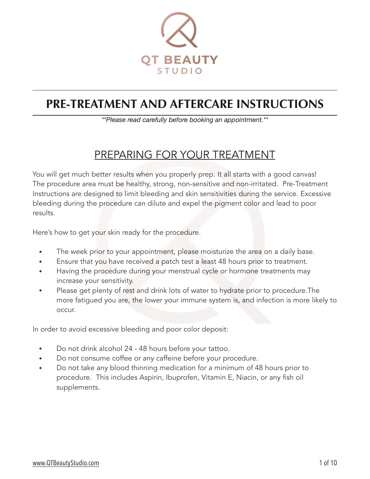

# **PRE-TREATMENT AND AFTERCARE INSTRUCTIONS**

*\*\*Please read carefully before booking an appointment.\*\** 

### PREPARING FOR YOUR TREATMENT

You will get much better results when you properly prep. It all starts with a good canvas! The procedure area must be healthy, strong, non-sensitive and non-irritated. Pre-Treatment Instructions are designed to limit bleeding and skin sensitivities during the service. Excessive bleeding during the procedure can dilute and expel the pigment color and lead to poor results.

Here's how to get your skin ready for the procedure.

- The week prior to your appointment, please moisturize the area on a daily base.
- Ensure that you have received a patch test a least 48 hours prior to treatment.
- Having the procedure during your menstrual cycle or hormone treatments may increase your sensitivity.
- Please get plenty of rest and drink lots of water to hydrate prior to procedure. The more fatigued you are, the lower your immune system is, and infection is more likely to occur.

In order to avoid excessive bleeding and poor color deposit:

- Do not drink alcohol 24 48 hours before your tattoo.
- Do not consume coffee or any caffeine before your procedure.
- Do not take any blood thinning medication for a minimum of 48 hours prior to procedure. This includes Aspirin, Ibuprofen, Vitamin E, Niacin, or any fish oil supplements.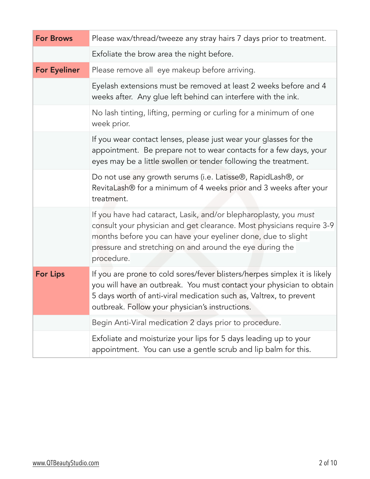| <b>For Brows</b>    | Please wax/thread/tweeze any stray hairs 7 days prior to treatment.                                                                                                                                                                                                                 |
|---------------------|-------------------------------------------------------------------------------------------------------------------------------------------------------------------------------------------------------------------------------------------------------------------------------------|
|                     | Exfoliate the brow area the night before.                                                                                                                                                                                                                                           |
| <b>For Eyeliner</b> | Please remove all eye makeup before arriving.                                                                                                                                                                                                                                       |
|                     | Eyelash extensions must be removed at least 2 weeks before and 4<br>weeks after. Any glue left behind can interfere with the ink.                                                                                                                                                   |
|                     | No lash tinting, lifting, perming or curling for a minimum of one<br>week prior.                                                                                                                                                                                                    |
|                     | If you wear contact lenses, please just wear your glasses for the<br>appointment. Be prepare not to wear contacts for a few days, your<br>eyes may be a little swollen or tender following the treatment.                                                                           |
|                     | Do not use any growth serums (i.e. Latisse®, RapidLash®, or<br>RevitaLash® for a minimum of 4 weeks prior and 3 weeks after your<br>treatment.                                                                                                                                      |
|                     | If you have had cataract, Lasik, and/or blepharoplasty, you must<br>consult your physician and get clearance. Most physicians require 3-9<br>months before you can have your eyeliner done, due to slight<br>pressure and stretching on and around the eye during the<br>procedure. |
| <b>For Lips</b>     | If you are prone to cold sores/fever blisters/herpes simplex it is likely<br>you will have an outbreak. You must contact your physician to obtain<br>5 days worth of anti-viral medication such as, Valtrex, to prevent<br>outbreak. Follow your physician's instructions.          |
|                     | Begin Anti-Viral medication 2 days prior to procedure.                                                                                                                                                                                                                              |
|                     | Exfoliate and moisturize your lips for 5 days leading up to your<br>appointment. You can use a gentle scrub and lip balm for this.                                                                                                                                                  |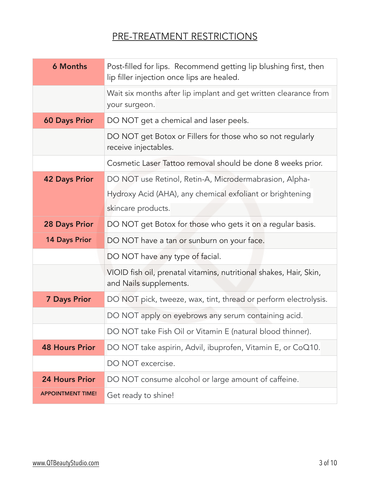### PRE-TREATMENT RESTRICTIONS

| <b>6 Months</b>          | Post-filled for lips. Recommend getting lip blushing first, then<br>lip filler injection once lips are healed. |
|--------------------------|----------------------------------------------------------------------------------------------------------------|
|                          | Wait six months after lip implant and get written clearance from<br>your surgeon.                              |
| <b>60 Days Prior</b>     | DO NOT get a chemical and laser peels.                                                                         |
|                          | DO NOT get Botox or Fillers for those who so not regularly<br>receive injectables.                             |
|                          | Cosmetic Laser Tattoo removal should be done 8 weeks prior.                                                    |
| <b>42 Days Prior</b>     | DO NOT use Retinol, Retin-A, Microdermabrasion, Alpha-                                                         |
|                          | Hydroxy Acid (AHA), any chemical exfoliant or brightening                                                      |
|                          | skincare products.                                                                                             |
| <b>28 Days Prior</b>     | DO NOT get Botox for those who gets it on a regular basis.                                                     |
| <b>14 Days Prior</b>     | DO NOT have a tan or sunburn on your face.                                                                     |
|                          | DO NOT have any type of facial.                                                                                |
|                          | VIOID fish oil, prenatal vitamins, nutritional shakes, Hair, Skin,<br>and Nails supplements.                   |
| <b>7 Days Prior</b>      | DO NOT pick, tweeze, wax, tint, thread or perform electrolysis.                                                |
|                          | DO NOT apply on eyebrows any serum containing acid.                                                            |
|                          | DO NOT take Fish Oil or Vitamin E (natural blood thinner).                                                     |
| <b>48 Hours Prior</b>    | DO NOT take aspirin, Advil, ibuprofen, Vitamin E, or CoQ10.                                                    |
|                          | DO NOT excercise.                                                                                              |
| <b>24 Hours Prior</b>    | DO NOT consume alcohol or large amount of caffeine.                                                            |
| <b>APPOINTMENT TIME!</b> | Get ready to shine!                                                                                            |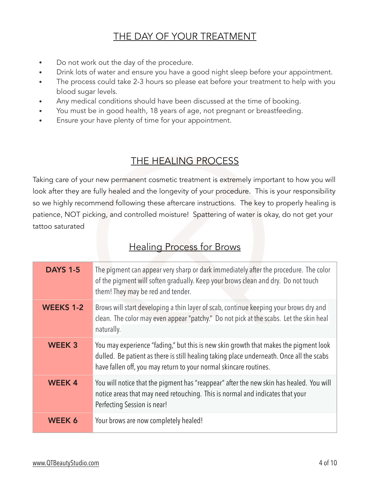#### THE DAY OF YOUR TREATMENT

- Do not work out the day of the procedure.
- Drink lots of water and ensure you have a good night sleep before your appointment.
- The process could take 2-3 hours so please eat before your treatment to help with you blood sugar levels.
- Any medical conditions should have been discussed at the time of booking.
- You must be in good health, 18 years of age, not pregnant or breastfeeding.
- Ensure your have plenty of time for your appointment.

#### THE HEALING PROCESS

Taking care of your new permanent cosmetic treatment is extremely important to how you will look after they are fully healed and the longevity of your procedure. This is your responsibility so we highly recommend following these aftercare instructions. The key to properly healing is patience, NOT picking, and controlled moisture! Spattering of water is okay, do not get your tattoo saturated

#### Healing Process for Brows

| <b>DAYS 1-5</b>  | The pigment can appear very sharp or dark immediately after the procedure. The color<br>of the pigment will soften gradually. Keep your brows clean and dry. Do not touch<br>them! They may be red and tender.                                        |
|------------------|-------------------------------------------------------------------------------------------------------------------------------------------------------------------------------------------------------------------------------------------------------|
| <b>WEEKS 1-2</b> | Brows will start developing a thin layer of scab, continue keeping your brows dry and<br>clean. The color may even appear "patchy." Do not pick at the scabs. Let the skin heal<br>naturally.                                                         |
| <b>WEEK 3</b>    | You may experience "fading," but this is new skin growth that makes the pigment look<br>dulled. Be patient as there is still healing taking place underneath. Once all the scabs<br>have fallen off, you may return to your normal skincare routines. |
| <b>WEEK4</b>     | You will notice that the pigment has "reappear" after the new skin has healed. You will<br>notice areas that may need retouching. This is normal and indicates that your<br>Perfecting Session is near!                                               |
| WEEK 6           | Your brows are now completely healed!                                                                                                                                                                                                                 |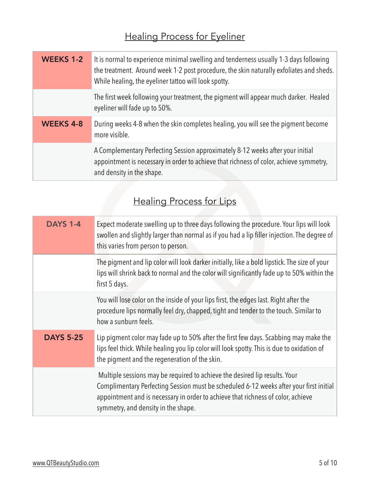# Healing Process for Eyeliner

| <b>WEEKS 1-2</b> | It is normal to experience minimal swelling and tenderness usually 1-3 days following<br>the treatment. Around week 1-2 post procedure, the skin naturally exfoliates and sheds.<br>While healing, the eyeliner tattoo will look spotty. |
|------------------|------------------------------------------------------------------------------------------------------------------------------------------------------------------------------------------------------------------------------------------|
|                  | The first week following your treatment, the pigment will appear much darker. Healed<br>eyeliner will fade up to 50%.                                                                                                                    |
| <b>WEEKS 4-8</b> | During weeks 4-8 when the skin completes healing, you will see the pigment become<br>more visible.                                                                                                                                       |
|                  | A Complementary Perfecting Session approximately 8-12 weeks after your initial<br>appointment is necessary in order to achieve that richness of color, achieve symmetry,<br>and density in the shape.                                    |

# Healing Process for Lips

| <b>DAYS 1-4</b>  | Expect moderate swelling up to three days following the procedure. Your lips will look<br>swollen and slightly larger than normal as if you had a lip filler injection. The degree of<br>this varies from person to person.                                                                     |
|------------------|-------------------------------------------------------------------------------------------------------------------------------------------------------------------------------------------------------------------------------------------------------------------------------------------------|
|                  | The pigment and lip color will look darker initially, like a bold lipstick. The size of your<br>lips will shrink back to normal and the color will significantly fade up to 50% within the<br>first 5 days.                                                                                     |
|                  | You will lose color on the inside of your lips first, the edges last. Right after the<br>procedure lips normally feel dry, chapped, tight and tender to the touch. Similar to<br>how a sunburn feels.                                                                                           |
| <b>DAYS 5-25</b> | Lip pigment color may fade up to 50% after the first few days. Scabbing may make the<br>lips feel thick. While healing you lip color will look spotty. This is due to oxidation of<br>the pigment and the regeneration of the skin.                                                             |
|                  | Multiple sessions may be required to achieve the desired lip results. Your<br>Complimentary Perfecting Session must be scheduled 6-12 weeks after your first initial<br>appointment and is necessary in order to achieve that richness of color, achieve<br>symmetry, and density in the shape. |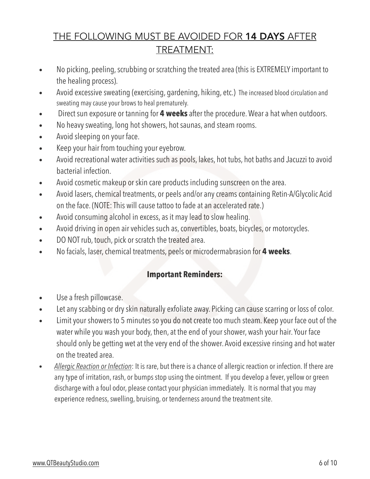### THE FOLLOWING MUST BE AVOIDED FOR 14 DAYS AFTER TREATMENT:

- No picking, peeling, scrubbing or scratching the treated area (this is EXTREMELY important to the healing process).
- Avoid excessive sweating (exercising, gardening, hiking, etc.) The increased blood circulation and sweating may cause your brows to heal prematurely.
- Direct sun exposure or tanning for **4 weeks** after the procedure. Wear a hat when outdoors.
- No heavy sweating, long hot showers, hot saunas, and steam rooms.
- Avoid sleeping on your face.
- Keep your hair from touching your eyebrow.
- Avoid recreational water activities such as pools, lakes, hot tubs, hot baths and Jacuzzi to avoid bacterial infection.
- Avoid cosmetic makeup or skin care products including sunscreen on the area.
- Avoid lasers, chemical treatments, or peels and/or any creams containing Retin-A/Glycolic Acid on the face. (NOTE: This will cause tattoo to fade at an accelerated rate.)
- Avoid consuming alcohol in excess, as it may lead to slow healing.
- Avoid driving in open air vehicles such as, convertibles, boats, bicycles, or motorcycles.
- DO NOT rub, touch, pick or scratch the treated area.
- No facials, laser, chemical treatments, peels or microdermabrasion for **4 weeks**.

#### **Important Reminders:**

- Use a fresh pillowcase.
- Let any scabbing or dry skin naturally exfoliate away. Picking can cause scarring or loss of color.
- Limit your showers to 5 minutes so you do not create too much steam. Keep your face out of the water while you wash your body, then, at the end of your shower, wash your hair. Your face should only be getting wet at the very end of the shower. Avoid excessive rinsing and hot water on the treated area.
- *Allergic Reaction or Infection*: It is rare, but there is a chance of allergic reaction or infection. If there are any type of irritation, rash, or bumps stop using the ointment. If you develop a fever, yellow or green discharge with a foul odor, please contact your physician immediately. It is normal that you may experience redness, swelling, bruising, or tenderness around the treatment site.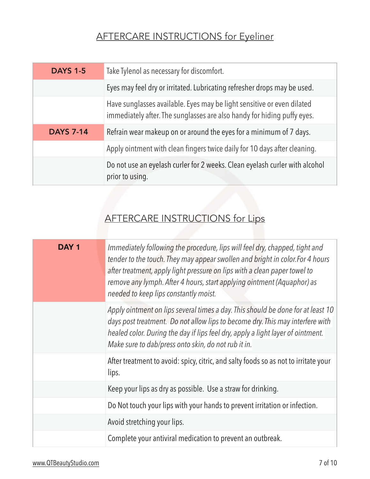# AFTERCARE INSTRUCTIONS for Eyeliner

| <b>DAYS 1-5</b>  | Take Tylenol as necessary for discomfort.                                                                                                         |
|------------------|---------------------------------------------------------------------------------------------------------------------------------------------------|
|                  | Eyes may feel dry or irritated. Lubricating refresher drops may be used.                                                                          |
|                  | Have sunglasses available. Eyes may be light sensitive or even dilated<br>immediately after. The sunglasses are also handy for hiding puffy eyes. |
| <b>DAYS 7-14</b> | Refrain wear makeup on or around the eyes for a minimum of 7 days.                                                                                |
|                  | Apply ointment with clean fingers twice daily for 10 days after cleaning.                                                                         |
|                  | Do not use an eyelash curler for 2 weeks. Clean eyelash curler with alcohol<br>prior to using.                                                    |

## AFTERCARE INSTRUCTIONS for Lips

| DAY <sub>1</sub> | Immediately following the procedure, lips will feel dry, chapped, tight and<br>tender to the touch. They may appear swollen and bright in color. For 4 hours<br>after treatment, apply light pressure on lips with a clean paper towel to<br>remove any lymph. After 4 hours, start applying ointment (Aquaphor) as<br>needed to keep lips constantly moist. |
|------------------|--------------------------------------------------------------------------------------------------------------------------------------------------------------------------------------------------------------------------------------------------------------------------------------------------------------------------------------------------------------|
|                  | Apply ointment on lips several times a day. This should be done for at least 10<br>days post treatment. Do not allow lips to become dry. This may interfere with<br>healed color. During the day if lips feel dry, apply a light layer of ointment.<br>Make sure to dab/press onto skin, do not rub it in.                                                   |
|                  | After treatment to avoid: spicy, citric, and salty foods so as not to irritate your<br>lips.                                                                                                                                                                                                                                                                 |
|                  | Keep your lips as dry as possible. Use a straw for drinking.                                                                                                                                                                                                                                                                                                 |
|                  | Do Not touch your lips with your hands to prevent irritation or infection.                                                                                                                                                                                                                                                                                   |
|                  | Avoid stretching your lips.                                                                                                                                                                                                                                                                                                                                  |
|                  | Complete your antiviral medication to prevent an outbreak.                                                                                                                                                                                                                                                                                                   |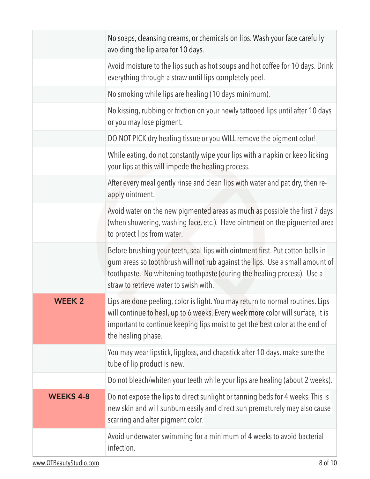|                  | No soaps, cleansing creams, or chemicals on lips. Wash your face carefully<br>avoiding the lip area for 10 days.                                                                                                                                                                    |
|------------------|-------------------------------------------------------------------------------------------------------------------------------------------------------------------------------------------------------------------------------------------------------------------------------------|
|                  | Avoid moisture to the lips such as hot soups and hot coffee for 10 days. Drink<br>everything through a straw until lips completely peel.                                                                                                                                            |
|                  | No smoking while lips are healing (10 days minimum).                                                                                                                                                                                                                                |
|                  | No kissing, rubbing or friction on your newly tattooed lips until after 10 days<br>or you may lose pigment.                                                                                                                                                                         |
|                  | DO NOT PICK dry healing tissue or you WILL remove the pigment color!                                                                                                                                                                                                                |
|                  | While eating, do not constantly wipe your lips with a napkin or keep licking<br>your lips at this will impede the healing process.                                                                                                                                                  |
|                  | After every meal gently rinse and clean lips with water and pat dry, then re-<br>apply ointment.                                                                                                                                                                                    |
|                  | Avoid water on the new pigmented areas as much as possible the first 7 days<br>(when showering, washing face, etc.). Have ointment on the pigmented area<br>to protect lips from water.                                                                                             |
|                  | Before brushing your teeth, seal lips with ointment first. Put cotton balls in<br>gum areas so toothbrush will not rub against the lips. Use a small amount of<br>toothpaste. No whitening toothpaste (during the healing process). Use a<br>straw to retrieve water to swish with. |
| <b>WEEK 2</b>    | Lips are done peeling, color is light. You may return to normal routines. Lips<br>will continue to heal, up to 6 weeks. Every week more color will surface, it is<br>important to continue keeping lips moist to get the best color at the end of<br>the healing phase.             |
|                  | You may wear lipstick, lipgloss, and chapstick after 10 days, make sure the<br>tube of lip product is new.                                                                                                                                                                          |
|                  | Do not bleach/whiten your teeth while your lips are healing (about 2 weeks).                                                                                                                                                                                                        |
| <b>WEEKS 4-8</b> | Do not expose the lips to direct sunlight or tanning beds for 4 weeks. This is<br>new skin and will sunburn easily and direct sun prematurely may also cause<br>scarring and alter pigment color.                                                                                   |
|                  | Avoid underwater swimming for a minimum of 4 weeks to avoid bacterial<br>infection.                                                                                                                                                                                                 |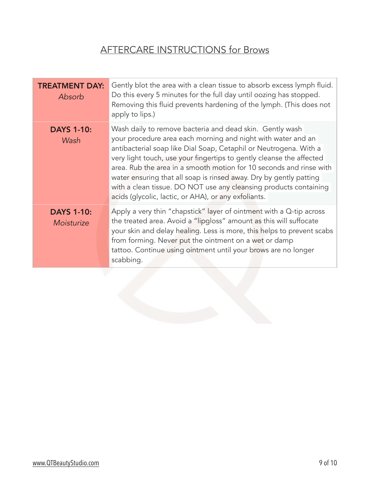# AFTERCARE INSTRUCTIONS for Brows

| <b>TREATMENT DAY:</b><br>Absorb | Gently blot the area with a clean tissue to absorb excess lymph fluid.<br>Do this every 5 minutes for the full day until oozing has stopped.<br>Removing this fluid prevents hardening of the lymph. (This does not<br>apply to lips.)                                                                                                                                                                                                                                                                                                          |
|---------------------------------|-------------------------------------------------------------------------------------------------------------------------------------------------------------------------------------------------------------------------------------------------------------------------------------------------------------------------------------------------------------------------------------------------------------------------------------------------------------------------------------------------------------------------------------------------|
| <b>DAYS 1-10:</b><br>Wash       | Wash daily to remove bacteria and dead skin. Gently wash<br>your procedure area each morning and night with water and an<br>antibacterial soap like Dial Soap, Cetaphil or Neutrogena. With a<br>very light touch, use your fingertips to gently cleanse the affected<br>area. Rub the area in a smooth motion for 10 seconds and rinse with<br>water ensuring that all soap is rinsed away. Dry by gently patting<br>with a clean tissue. DO NOT use any cleansing products containing<br>acids (glycolic, lactic, or AHA), or any exfoliants. |
| <b>DAYS 1-10:</b><br>Moisturize | Apply a very thin "chapstick" layer of ointment with a Q-tip across<br>the treated area. Avoid a "lipgloss" amount as this will suffocate<br>your skin and delay healing. Less is more, this helps to prevent scabs<br>from forming. Never put the ointment on a wet or damp<br>tattoo. Continue using ointment until your brows are no longer<br>scabbing.                                                                                                                                                                                     |